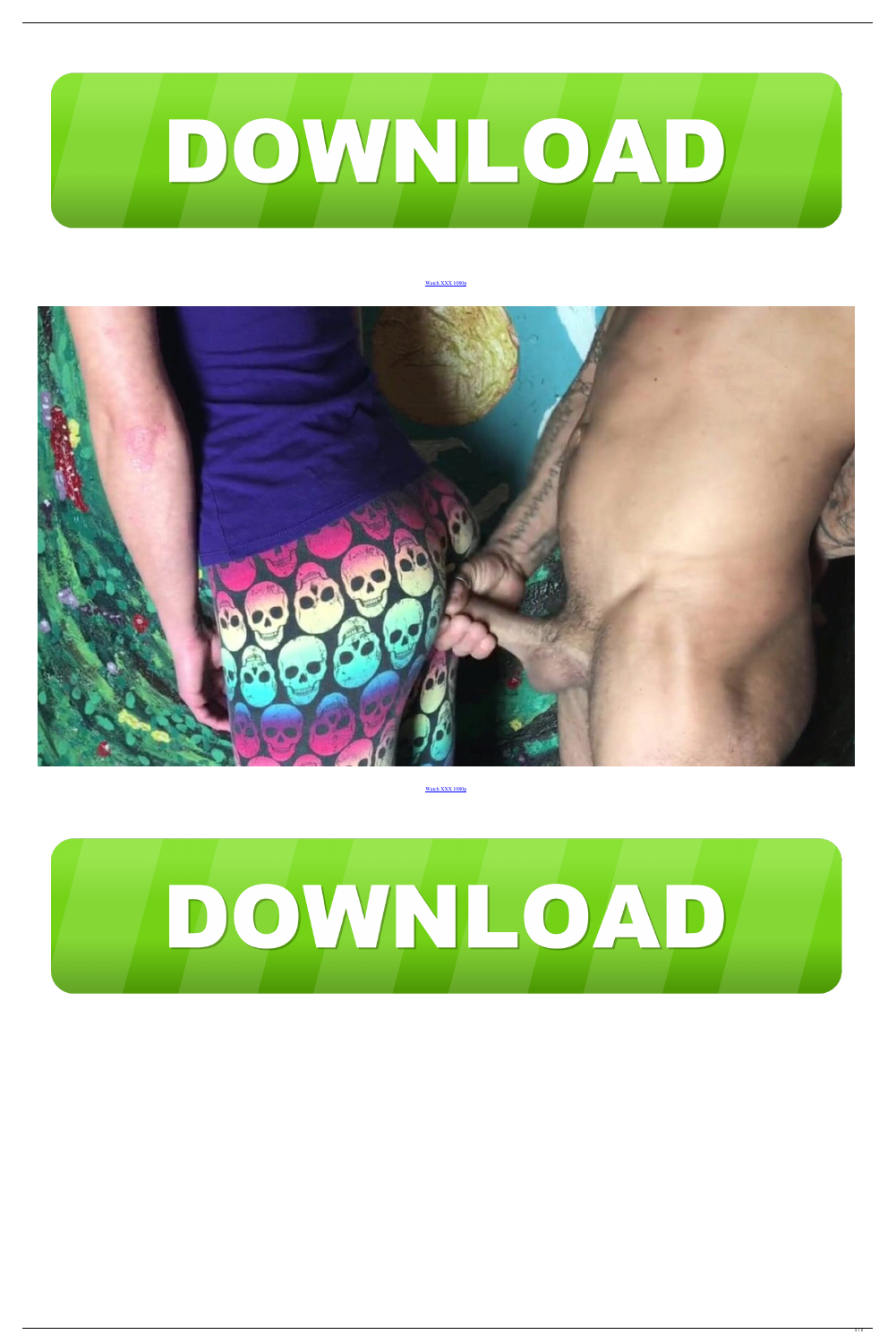

[Watch XXX 1080p](https://byltly.com/25967z)



[Watch XXX 1080p](https://byltly.com/25967z)



 $1/2$